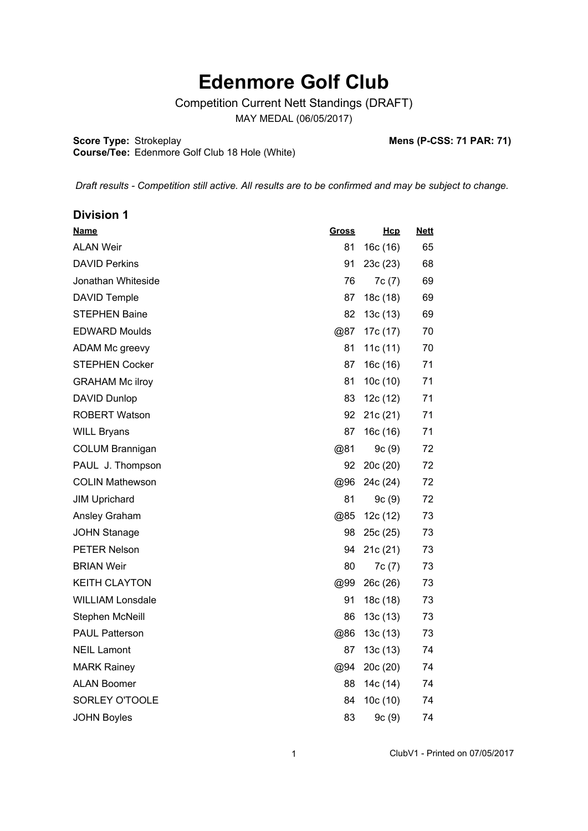## **Edenmore Golf Club**

Competition Current Nett Standings (DRAFT)

MAY MEDAL (06/05/2017)

**Score Type:**

**Course/Tee:**

Strokeplay **Mens (P-CSS: 71 PAR: 71)**

*Draft results - Competition still active. All results are to be confirmed and may be subject to change.* 

Edenmore Golf Club 18 Hole (White)

| <b>Division 1</b>       |              |            |             |
|-------------------------|--------------|------------|-------------|
| <b>Name</b>             | <u>Gross</u> | Hcp        | <b>Nett</b> |
| <b>ALAN Weir</b>        | 81           | 16c(16)    | 65          |
| <b>DAVID Perkins</b>    | 91           | 23c(23)    | 68          |
| Jonathan Whiteside      | 76           | 7c(7)      | 69          |
| <b>DAVID Temple</b>     | 87           | 18c (18)   | 69          |
| <b>STEPHEN Baine</b>    | 82           | 13c(13)    | 69          |
| <b>EDWARD Moulds</b>    | @87          | 17c (17)   | 70          |
| ADAM Mc greevy          | 81           | 11c $(11)$ | 70          |
| <b>STEPHEN Cocker</b>   | 87           | 16c(16)    | 71          |
| <b>GRAHAM Mc ilroy</b>  | 81           | 10c(10)    | 71          |
| <b>DAVID Dunlop</b>     | 83           | 12c(12)    | 71          |
| <b>ROBERT Watson</b>    | 92           | 21c(21)    | 71          |
| <b>WILL Bryans</b>      | 87           | 16c (16)   | 71          |
| <b>COLUM Brannigan</b>  | @81          | 9c(9)      | 72          |
| PAUL J. Thompson        | 92           | 20c(20)    | 72          |
| <b>COLIN Mathewson</b>  | @96          | 24c (24)   | 72          |
| <b>JIM Uprichard</b>    | 81           | 9c(9)      | 72          |
| Ansley Graham           | @85          | 12c(12)    | 73          |
| <b>JOHN Stanage</b>     | 98           | 25c(25)    | 73          |
| <b>PETER Nelson</b>     | 94           | 21c(21)    | 73          |
| <b>BRIAN Weir</b>       | 80           | 7c(7)      | 73          |
| <b>KEITH CLAYTON</b>    | @99          | 26c(26)    | 73          |
| <b>WILLIAM Lonsdale</b> | 91           | 18c (18)   | 73          |
| Stephen McNeill         | 86           | 13c(13)    | 73          |
| <b>PAUL Patterson</b>   | @86          | 13c(13)    | 73          |
| <b>NEIL Lamont</b>      | 87           | 13c(13)    | 74          |
| <b>MARK Rainey</b>      | @94          | 20c (20)   | 74          |
| <b>ALAN Boomer</b>      | 88           | 14c (14)   | 74          |
| SORLEY O'TOOLE          | 84           | 10c(10)    | 74          |
| <b>JOHN Boyles</b>      | 83           | 9c(9)      | 74          |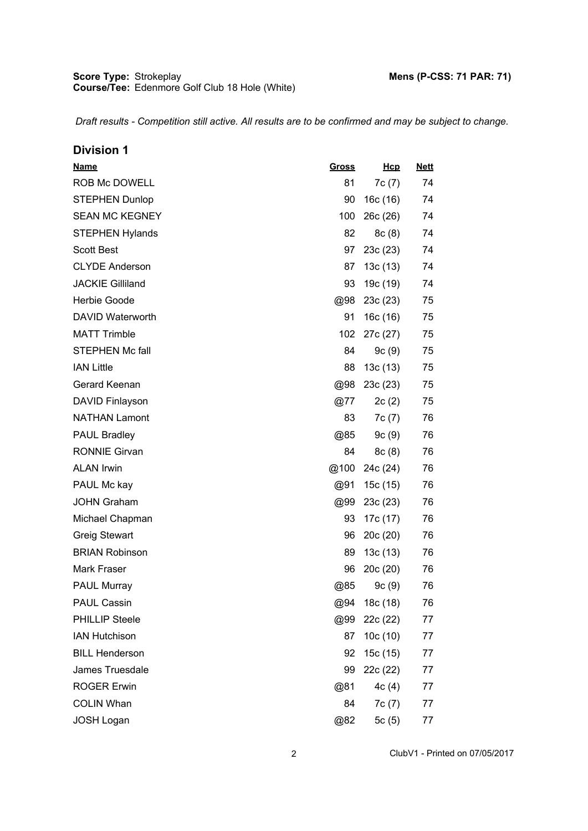| <b>Division 1</b>       |              |          |             |
|-------------------------|--------------|----------|-------------|
| <b>Name</b>             | <u>Gross</u> | Hcp      | <b>Nett</b> |
| ROB Mc DOWELL           | 81           | 7c(7)    | 74          |
| <b>STEPHEN Dunlop</b>   | 90           | 16c(16)  | 74          |
| <b>SEAN MC KEGNEY</b>   | 100          | 26c(26)  | 74          |
| <b>STEPHEN Hylands</b>  | 82           | 8c(8)    | 74          |
| <b>Scott Best</b>       | 97           | 23c(23)  | 74          |
| <b>CLYDE Anderson</b>   | 87           | 13c(13)  | 74          |
| <b>JACKIE Gilliland</b> | 93           | 19c (19) | 74          |
| Herbie Goode            | @98          | 23c(23)  | 75          |
| <b>DAVID Waterworth</b> | 91           | 16c(16)  | 75          |
| <b>MATT Trimble</b>     | 102          | 27c (27) | 75          |
| <b>STEPHEN Mc fall</b>  | 84           | 9c(9)    | 75          |
| <b>IAN Little</b>       | 88           | 13c(13)  | 75          |
| Gerard Keenan           | @98          | 23c(23)  | 75          |
| DAVID Finlayson         | $@{77}$      | 2c(2)    | 75          |
| <b>NATHAN Lamont</b>    | 83           | 7c(7)    | 76          |
| <b>PAUL Bradley</b>     | @85          | 9c(9)    | 76          |
| <b>RONNIE Girvan</b>    | 84           | 8c(8)    | 76          |
| <b>ALAN Irwin</b>       | @100         | 24c (24) | 76          |
| PAUL Mc kay             | @91          | 15c(15)  | 76          |
| <b>JOHN Graham</b>      | @99          | 23c(23)  | 76          |
| Michael Chapman         | 93           | 17c (17) | 76          |
| <b>Greig Stewart</b>    | 96           | 20c(20)  | 76          |
| <b>BRIAN Robinson</b>   | 89           | 13c(13)  | 76          |
| <b>Mark Fraser</b>      | 96           | 20c(20)  | 76          |
| PAUL Murray             | @85          | 9c(9)    | 76          |
| <b>PAUL Cassin</b>      | @94          | 18c (18) | 76          |
| <b>PHILLIP Steele</b>   | @99          | 22c (22) | 77          |
| <b>IAN Hutchison</b>    | 87           | 10c(10)  | 77          |
| <b>BILL Henderson</b>   | 92           | 15c (15) | 77          |
| James Truesdale         | 99           | 22c (22) | 77          |
| <b>ROGER Erwin</b>      | @81          | 4c(4)    | 77          |
| <b>COLIN Whan</b>       | 84           | 7c(7)    | 77          |
| <b>JOSH Logan</b>       | @82          | 5 $c(5)$ | 77          |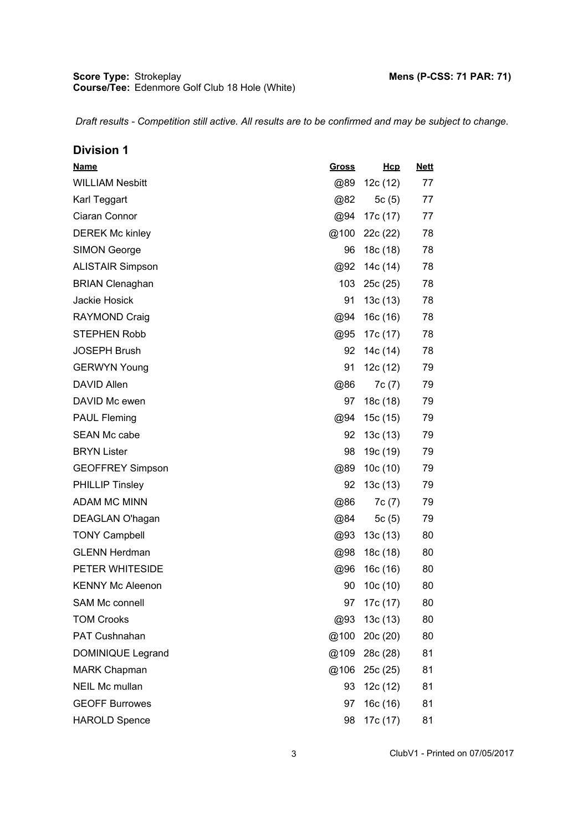| <b>Division 1</b>       |              |          |             |
|-------------------------|--------------|----------|-------------|
| <b>Name</b>             | <u>Gross</u> | Hcp      | <u>Nett</u> |
| <b>WILLIAM Nesbitt</b>  | @89          | 12c(12)  | 77          |
| Karl Teggart            | @82          | 5 $c(5)$ | 77          |
| Ciaran Connor           | @94          | 17c (17) | 77          |
| <b>DEREK Mc kinley</b>  | @100         | 22c(22)  | 78          |
| <b>SIMON George</b>     | 96           | 18c (18) | 78          |
| <b>ALISTAIR Simpson</b> | @92          | 14c (14) | 78          |
| <b>BRIAN Clenaghan</b>  | 103          | 25c(25)  | 78          |
| Jackie Hosick           | 91           | 13c (13) | 78          |
| <b>RAYMOND Craig</b>    | @94          | 16c(16)  | 78          |
| <b>STEPHEN Robb</b>     | @95          | 17c (17) | 78          |
| <b>JOSEPH Brush</b>     | 92           | 14c (14) | 78          |
| <b>GERWYN Young</b>     | 91           | 12c (12) | 79          |
| <b>DAVID Allen</b>      | @86          | 7c(7)    | 79          |
| DAVID Mc ewen           | 97           | 18c (18) | 79          |
| <b>PAUL Fleming</b>     | @94          | 15c(15)  | 79          |
| <b>SEAN Mc cabe</b>     | 92           | 13c(13)  | 79          |
| <b>BRYN Lister</b>      | 98           | 19c (19) | 79          |
| <b>GEOFFREY Simpson</b> | @89          | 10c(10)  | 79          |
| <b>PHILLIP Tinsley</b>  | 92           | 13c(13)  | 79          |
| <b>ADAM MC MINN</b>     | @86          | 7c(7)    | 79          |
| DEAGLAN O'hagan         | @84          | 5 $c(5)$ | 79          |
| <b>TONY Campbell</b>    | @93          | 13c (13) | 80          |
| <b>GLENN Herdman</b>    | @98          | 18c (18) | 80          |
| PETER WHITESIDE         | @96          | 16c (16) | 80          |
| <b>KENNY Mc Aleenon</b> | 90           | 10c(10)  | 80          |
| <b>SAM Mc connell</b>   | 97           | 17c (17) | 80          |
| <b>TOM Crooks</b>       | @93          | 13c(13)  | 80          |
| PAT Cushnahan           | @100         | 20c(20)  | 80          |
| DOMINIQUE Legrand       | @109         | 28c (28) | 81          |
| <b>MARK Chapman</b>     | @106         | 25c(25)  | 81          |
| <b>NEIL Mc mullan</b>   | 93           | 12c (12) | 81          |
| <b>GEOFF Burrowes</b>   | 97           | 16c(16)  | 81          |
| <b>HAROLD Spence</b>    | 98           | 17c (17) | 81          |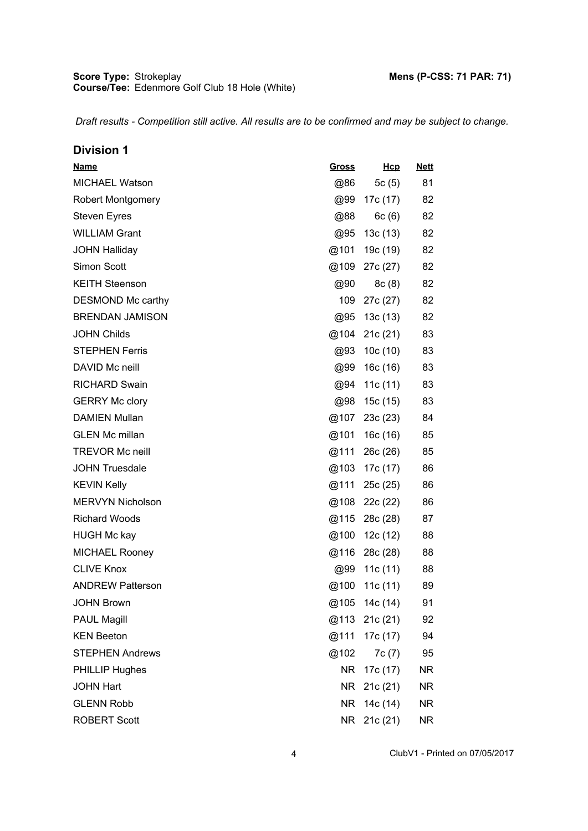| <b>Division 1</b>        |              |               |             |
|--------------------------|--------------|---------------|-------------|
| <b>Name</b>              | <u>Gross</u> | <u>Hcp</u>    | <u>Nett</u> |
| <b>MICHAEL Watson</b>    | @86          | 5c (5)        | 81          |
| <b>Robert Montgomery</b> | @99          | 17c (17)      | 82          |
| <b>Steven Eyres</b>      | @88          | 6c (6)        | 82          |
| <b>WILLIAM Grant</b>     | @95          | 13c (13)      | 82          |
| <b>JOHN Halliday</b>     | @101         | 19c (19)      | 82          |
| Simon Scott              | @109         | 27c (27)      | 82          |
| <b>KEITH Steenson</b>    | @90          | 8c (8)        | 82          |
| DESMOND Mc carthy        | 109          | 27c (27)      | 82          |
| <b>BRENDAN JAMISON</b>   | @95          | 13c (13)      | 82          |
| <b>JOHN Childs</b>       |              | @104 21c (21) | 83          |
| <b>STEPHEN Ferris</b>    | @93          | 10c (10)      | 83          |
| DAVID Mc neill           | @99          | 16c (16)      | 83          |
| <b>RICHARD Swain</b>     | @94          | 11c (11)      | 83          |
| <b>GERRY Mc clory</b>    | @98          | 15c (15)      | 83          |
| <b>DAMIEN Mullan</b>     | @107         | 23c (23)      | 84          |
| <b>GLEN Mc millan</b>    | @101         | 16c (16)      | 85          |
| <b>TREVOR Mc neill</b>   | @111         | 26c (26)      | 85          |
| <b>JOHN Truesdale</b>    | @103         | 17c (17)      | 86          |
| <b>KEVIN Kelly</b>       | @111         | 25c (25)      | 86          |
| <b>MERVYN Nicholson</b>  |              | @108 22c (22) | 86          |
| <b>Richard Woods</b>     | @115         | 28c (28)      | 87          |
| <b>HUGH Mc kay</b>       | @100         | 12c (12)      | 88          |
| <b>MICHAEL Rooney</b>    |              | @116 28c (28) | 88          |
| <b>CLIVE Knox</b>        | @99          | 11c $(11)$    | 88          |
| <b>ANDREW Patterson</b>  | @100         | 11 $c(11)$    | 89          |
| <b>JOHN Brown</b>        | @105         | 14c (14)      | 91          |
| <b>PAUL Magill</b>       | @113         | 21c(21)       | 92          |
| <b>KEN Beeton</b>        | @111         | 17c (17)      | 94          |
| <b>STEPHEN Andrews</b>   | @102         | 7c(7)         | 95          |
| <b>PHILLIP Hughes</b>    | NR.          | 17c (17)      | NR.         |
| <b>JOHN Hart</b>         | NR.          | 21c (21)      | NR.         |
| <b>GLENN Robb</b>        | <b>NR</b>    | 14c (14)      | NR.         |
| <b>ROBERT Scott</b>      | NR           | 21c (21)      | <b>NR</b>   |